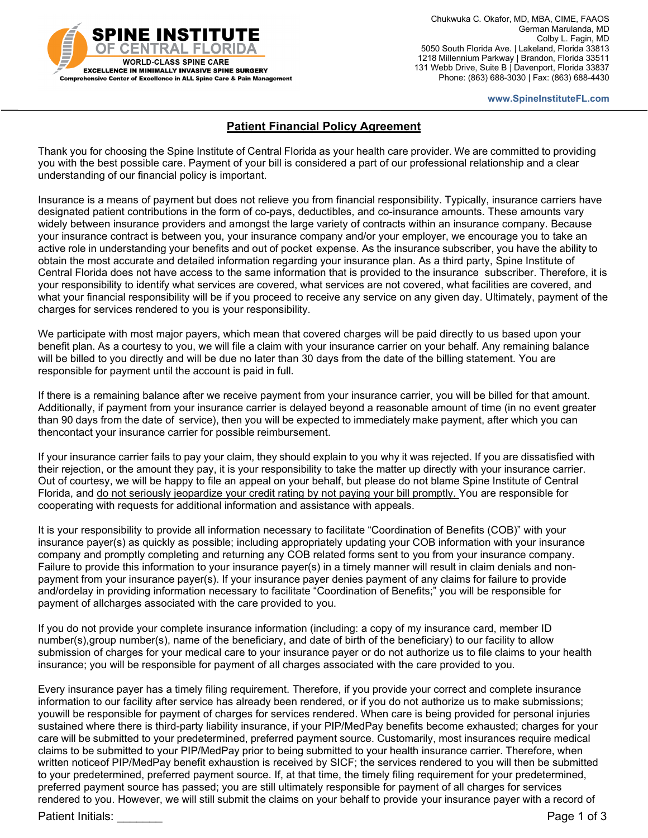

 Chukwuka C. Okafor, MD, MBA, CIME, FAAOS German Marulanda, MD Colby L. Fagin, MD 5050 South Florida Ave. | Lakeland, Florida 33813 1218 Millennium Parkway | Brandon, Florida 33511 131 Webb Drive, Suite B | Davenport, Florida 33837 Phone: (863) 688-3030 | Fax: (863) 688-4430

**www.SpineInstituteFL.com**

## **Patient Financial Policy Agreement**

Thank you for choosing the Spine Institute of Central Florida as your health care provider. We are committed to providing you with the best possible care. Payment of your bill is considered a part of our professional relationship and a clear understanding of our financial policy is important.

Insurance is a means of payment but does not relieve you from financial responsibility. Typically, insurance carriers have designated patient contributions in the form of co-pays, deductibles, and co-insurance amounts. These amounts vary widely between insurance providers and amongst the large variety of contracts within an insurance company. Because your insurance contract is between you, your insurance company and/or your employer, we encourage you to take an active role in understanding your benefits and out of pocket expense. As the insurance subscriber, you have the ability to obtain the most accurate and detailed information regarding your insurance plan. As a third party, Spine Institute of Central Florida does not have access to the same information that is provided to the insurance subscriber. Therefore, it is your responsibility to identify what services are covered, what services are not covered, what facilities are covered, and what your financial responsibility will be if you proceed to receive any service on any given day. Ultimately, payment of the charges for services rendered to you is your responsibility.

We participate with most major payers, which mean that covered charges will be paid directly to us based upon your benefit plan. As a courtesy to you, we will file a claim with your insurance carrier on your behalf. Any remaining balance will be billed to you directly and will be due no later than 30 days from the date of the billing statement. You are responsible for payment until the account is paid in full.

If there is a remaining balance after we receive payment from your insurance carrier, you will be billed for that amount. Additionally, if payment from your insurance carrier is delayed beyond a reasonable amount of time (in no event greater than 90 days from the date of service), then you will be expected to immediately make payment, after which you can thencontact your insurance carrier for possible reimbursement.

If your insurance carrier fails to pay your claim, they should explain to you why it was rejected. If you are dissatisfied with their rejection, or the amount they pay, it is your responsibility to take the matter up directly with your insurance carrier. Out of courtesy, we will be happy to file an appeal on your behalf, but please do not blame Spine Institute of Central Florida, and do not seriously jeopardize your credit rating by not paying your bill promptly. You are responsible for cooperating with requests for additional information and assistance with appeals.

It is your responsibility to provide all information necessary to facilitate "Coordination of Benefits (COB)" with your insurance payer(s) as quickly as possible; including appropriately updating your COB information with your insurance company and promptly completing and returning any COB related forms sent to you from your insurance company. Failure to provide this information to your insurance payer(s) in a timely manner will result in claim denials and nonpayment from your insurance payer(s). If your insurance payer denies payment of any claims for failure to provide and/ordelay in providing information necessary to facilitate "Coordination of Benefits;" you will be responsible for payment of allcharges associated with the care provided to you.

If you do not provide your complete insurance information (including: a copy of my insurance card, member ID number(s),group number(s), name of the beneficiary, and date of birth of the beneficiary) to our facility to allow submission of charges for your medical care to your insurance payer or do not authorize us to file claims to your health insurance; you will be responsible for payment of all charges associated with the care provided to you.

Every insurance payer has a timely filing requirement. Therefore, if you provide your correct and complete insurance information to our facility after service has already been rendered, or if you do not authorize us to make submissions; youwill be responsible for payment of charges for services rendered. When care is being provided for personal injuries sustained where there is third-party liability insurance, if your PIP/MedPay benefits become exhausted; charges for your care will be submitted to your predetermined, preferred payment source. Customarily, most insurances require medical claims to be submitted to your PIP/MedPay prior to being submitted to your health insurance carrier. Therefore, when written noticeof PIP/MedPay benefit exhaustion is received by SICF; the services rendered to you will then be submitted to your predetermined, preferred payment source. If, at that time, the timely filing requirement for your predetermined, preferred payment source has passed; you are still ultimately responsible for payment of all charges for services rendered to you. However, we will still submit the claims on your behalf to provide your insurance payer with a record of

Patient Initials: **Example 2** of 3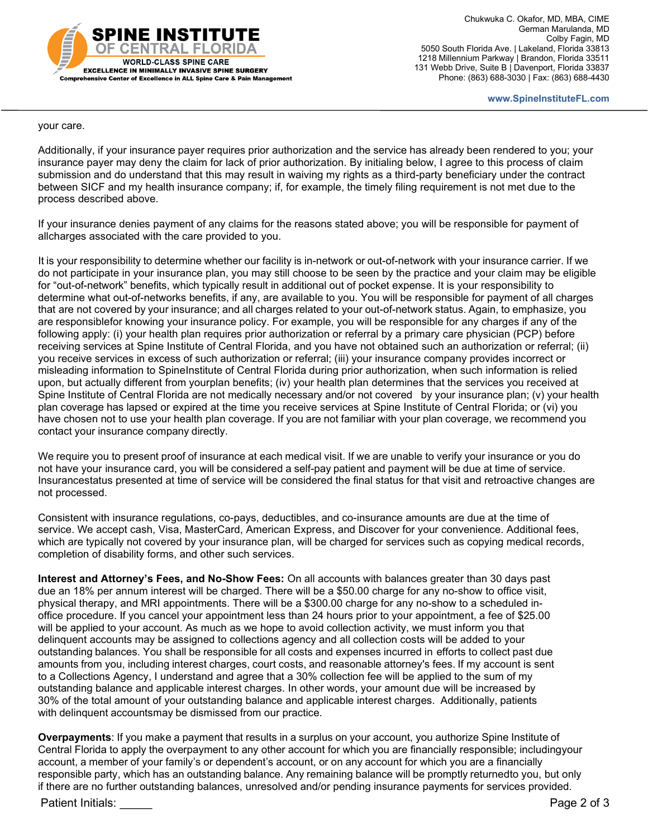

 Chukwuka C. Okafor, MD, MBA, CIME German Marulanda, MD Colby Fagin, MD 5050 South Florida Ave. | Lakeland, Florida 33813 1218 Millennium Parkway | Brandon, Florida 33511 131 Webb Drive, Suite B | Davenport, Florida 33837 Phone: (863) 688-3030 | Fax: (863) 688-4430

**www.SpineInstituteFL.com**

your care.

Additionally, if your insurance payer requires prior authorization and the service has already been rendered to you; your insurance payer may deny the claim for lack of prior authorization. By initialing below, I agree to this process of claim submission and do understand that this may result in waiving my rights as a third-party beneficiary under the contract between SICF and my health insurance company; if, for example, the timely filing requirement is not met due to the process described above.

If your insurance denies payment of any claims for the reasons stated above; you will be responsible for payment of allcharges associated with the care provided to you.

It is your responsibility to determine whether our facility is in-network or out-of-network with your insurance carrier. If we do not participate in your insurance plan, you may still choose to be seen by the practice and your claim may be eligible for "out-of-network" benefits, which typically result in additional out of pocket expense. It is your responsibility to determine what out-of-networks benefits, if any, are available to you. You will be responsible for payment of all charges that are not covered by your insurance; and all charges related to your out-of-network status. Again, to emphasize, you are responsiblefor knowing your insurance policy. For example, you will be responsible for any charges if any of the following apply: (i) your health plan requires prior authorization or referral by a primary care physician (PCP) before receiving services at Spine Institute of Central Florida, and you have not obtained such an authorization or referral; (ii) you receive services in excess of such authorization or referral; (iii) your insurance company provides incorrect or misleading information to SpineInstitute of Central Florida during prior authorization, when such information is relied upon, but actually different from yourplan benefits; (iv) your health plan determines that the services you received at Spine Institute of Central Florida are not medically necessary and/or not covered by your insurance plan; (v) your health plan coverage has lapsed or expired at the time you receive services at Spine Institute of Central Florida; or (vi) you have chosen not to use your health plan coverage. If you are not familiar with your plan coverage, we recommend you contact your insurance company directly.

We require you to present proof of insurance at each medical visit. If we are unable to verify your insurance or you do not have your insurance card, you will be considered a self-pay patient and payment will be due at time of service. Insurancestatus presented at time of service will be considered the final status for that visit and retroactive changes are not processed.

Consistent with insurance regulations, co-pays, deductibles, and co-insurance amounts are due at the time of service. We accept cash, Visa, MasterCard, American Express, and Discover for your convenience. Additional fees, which are typically not covered by your insurance plan, will be charged for services such as copying medical records, completion of disability forms, and other such services.

**Interest and Attorney's Fees, and No-Show Fees:** On all accounts with balances greater than 30 days past due an 18% per annum interest will be charged. There will be a \$50.00 charge for any no-show to office visit, physical therapy, and MRI appointments. There will be a \$300.00 charge for any no-show to a scheduled inoffice procedure. If you cancel your appointment less than 24 hours prior to your appointment, a fee of \$25.00 will be applied to your account. As much as we hope to avoid collection activity, we must inform you that delinquent accounts may be assigned to collections agency and all collection costs will be added to your outstanding balances. You shall be responsible for all costs and expenses incurred in efforts to collect past due amounts from you, including interest charges, court costs, and reasonable attorney's fees. If my account is sent to a Collections Agency, I understand and agree that a 30% collection fee will be applied to the sum of my outstanding balance and applicable interest charges. In other words, your amount due will be increased by 30% of the total amount of your outstanding balance and applicable interest charges. Additionally, patients with delinquent accountsmay be dismissed from our practice.

**Overpayments**: If you make a payment that results in a surplus on your account, you authorize Spine Institute of Central Florida to apply the overpayment to any other account for which you are financially responsible; includingyour account, a member of your family's or dependent's account, or on any account for which you are a financially responsible party, which has an outstanding balance. Any remaining balance will be promptly returnedto you, but only if there are no further outstanding balances, unresolved and/or pending insurance payments for services provided.